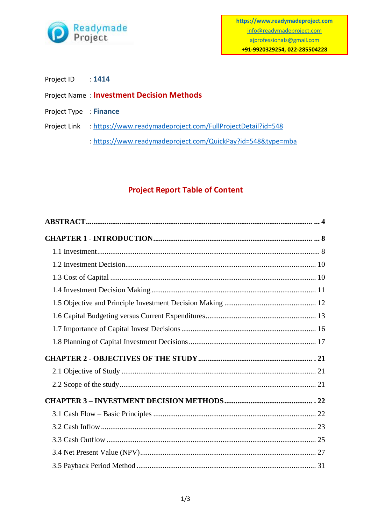

Project ID : 1414

## Project Name : **Investment Decision Methods**

- Project Type : **Finance**
- Project Link :<https://www.readymadeproject.com/FullProjectDetail?id=548>

:<https://www.readymadeproject.com/QuickPay?id=548&type=mba>

## **Project Report Table of Content**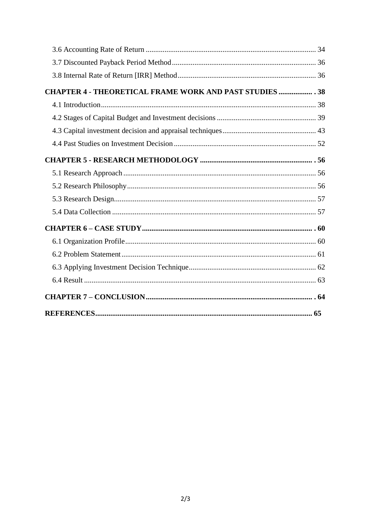| <b>CHAPTER 4 - THEORETICAL FRAME WORK AND PAST STUDIES  38</b> |  |
|----------------------------------------------------------------|--|
|                                                                |  |
|                                                                |  |
|                                                                |  |
|                                                                |  |
|                                                                |  |
|                                                                |  |
|                                                                |  |
|                                                                |  |
|                                                                |  |
|                                                                |  |
|                                                                |  |
|                                                                |  |
|                                                                |  |
|                                                                |  |
|                                                                |  |
|                                                                |  |